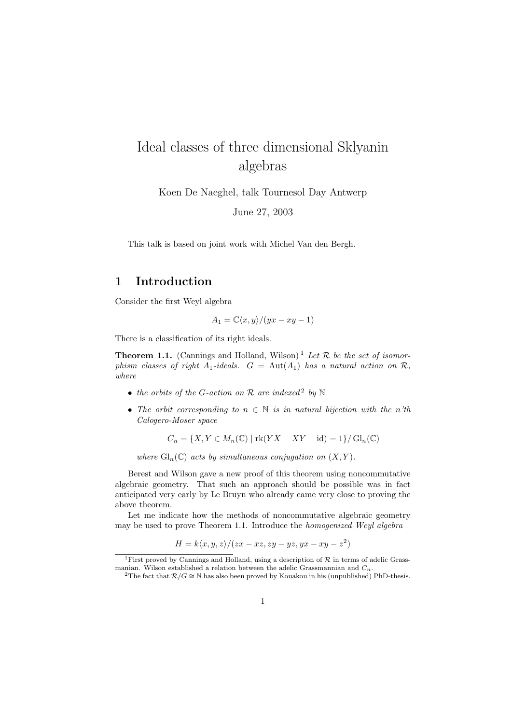# Ideal classes of three dimensional Sklyanin algebras

Koen De Naeghel, talk Tournesol Day Antwerp

June 27, 2003

This talk is based on joint work with Michel Van den Bergh.

### 1 Introduction

Consider the first Weyl algebra

$$
A_1 = \mathbb{C}\langle x, y \rangle / (yx - xy - 1)
$$

There is a classification of its right ideals.

**Theorem 1.1.** (Cannings and Holland, Wilson)<sup>1</sup> Let  $\mathcal{R}$  be the set of isomorphism classes of right A<sub>1</sub>-ideals.  $G = Aut(A_1)$  has a natural action on R, where

- the orbits of the G-action on  $\mathcal R$  are indexed<sup>2</sup> by  $\mathbb N$
- The orbit corresponding to  $n \in \mathbb{N}$  is in natural bijection with the n'th Calogero-Moser space

$$
C_n = \{X, Y \in M_n(\mathbb{C}) \mid \text{rk}(YX - XY - \text{id}) = 1\} / \operatorname{Gl}_n(\mathbb{C})
$$

where  $\text{Gl}_n(\mathbb{C})$  acts by simultaneous conjugation on  $(X, Y)$ .

Berest and Wilson gave a new proof of this theorem using noncommutative algebraic geometry. That such an approach should be possible was in fact anticipated very early by Le Bruyn who already came very close to proving the above theorem.

Let me indicate how the methods of noncommutative algebraic geometry may be used to prove Theorem 1.1. Introduce the homogenized Weyl algebra

$$
H = k \langle x, y, z \rangle / (zx - xz, zy - yz, yx - xy - z2)
$$

<sup>&</sup>lt;sup>1</sup>First proved by Cannings and Holland, using a description of  $R$  in terms of adelic Grassmanian. Wilson established a relation between the adelic Grassmannian and  $C_n$ .

<sup>&</sup>lt;sup>2</sup>The fact that  $\mathcal{R}/G \cong \mathbb{N}$  has also been proved by Kouakou in his (unpublished) PhD-thesis.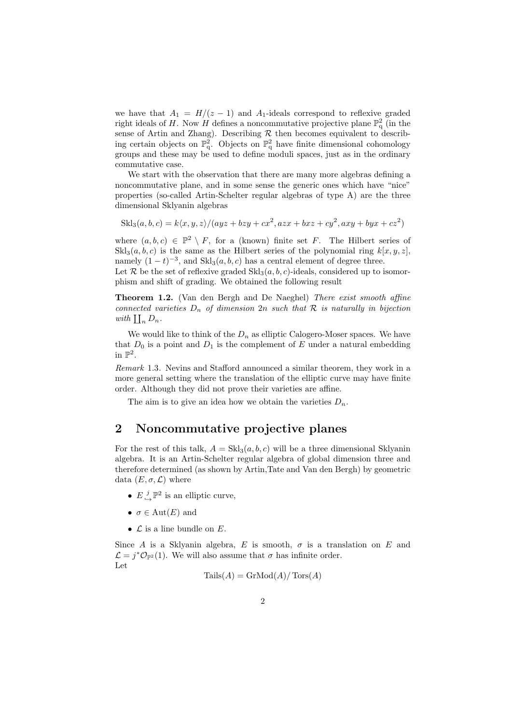we have that  $A_1 = H/(z - 1)$  and  $A_1$ -ideals correspond to reflexive graded right ideals of H. Now  $\hat{H}$  defines a noncommutative projective plane  $\mathbb{P}^2_q$  (in the sense of Artin and Zhang). Describing  $R$  then becomes equivalent to describing certain objects on  $\mathbb{P}^2_q$ . Objects on  $\mathbb{P}^2_q$  have finite dimensional cohomology groups and these may be used to define moduli spaces, just as in the ordinary commutative case.

We start with the observation that there are many more algebras defining a noncommutative plane, and in some sense the generic ones which have "nice" properties (so-called Artin-Schelter regular algebras of type A) are the three dimensional Sklyanin algebras

 $\text{Skl}_3(a, b, c) = k\langle x, y, z \rangle / (ayz + bzy + cx^2, azx + bxz + cy^2, axy + byx + cz^2)$ 

where  $(a, b, c) \in \mathbb{P}^2 \setminus F$ , for a (known) finite set F. The Hilbert series of  $\text{Skl}_3(a, b, c)$  is the same as the Hilbert series of the polynomial ring  $k[x, y, z]$ , namely  $(1-t)^{-3}$ , and  $\text{Skl}_3(a, b, c)$  has a central element of degree three.

Let R be the set of reflexive graded  $\text{Skl}_3(a, b, c)$ -ideals, considered up to isomorphism and shift of grading. We obtained the following result

Theorem 1.2. (Van den Bergh and De Naeghel) There exist smooth affine connected varieties  $D_n$  of dimension  $2n$  such that  $R$  is naturally in bijection with  $\prod_n D_n$ .

We would like to think of the  $D_n$  as elliptic Calogero-Moser spaces. We have that  $D_0$  is a point and  $D_1$  is the complement of E under a natural embedding in  $\mathbb{P}^2$ .

Remark 1.3. Nevins and Stafford announced a similar theorem, they work in a more general setting where the translation of the elliptic curve may have finite order. Although they did not prove their varieties are affine.

The aim is to give an idea how we obtain the varieties  $D_n$ .

#### 2 Noncommutative projective planes

For the rest of this talk,  $A = Skl_3(a, b, c)$  will be a three dimensional Sklyanin algebra. It is an Artin-Schelter regular algebra of global dimension three and therefore determined (as shown by Artin,Tate and Van den Bergh) by geometric data  $(E, \sigma, \mathcal{L})$  where

- $E \overset{j}{\hookrightarrow} \mathbb{P}^2$  is an elliptic curve,
- $\sigma \in \text{Aut}(E)$  and
- $\mathcal L$  is a line bundle on  $E$ .

Since A is a Sklyanin algebra, E is smooth,  $\sigma$  is a translation on E and  $\mathcal{L} = j^* \mathcal{O}_{\mathbb{P}^2}(1)$ . We will also assume that  $\sigma$  has infinite order. Let

$$
Tails(A) = GrMod(A) / Tors(A)
$$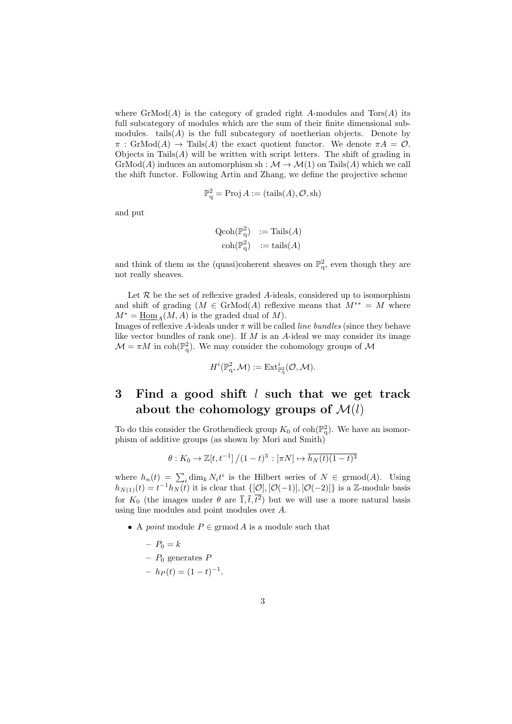where  $\mathrm{GrMod}(A)$  is the category of graded right A-modules and  $\mathrm{Tor}(A)$  its full subcategory of modules which are the sum of their finite dimensional submodules. tails $(A)$  is the full subcategory of noetherian objects. Denote by  $\pi$ : GrMod(A)  $\rightarrow$  Tails(A) the exact quotient functor. We denote  $\pi A = \mathcal{O}$ . Objects in Tails $(A)$  will be written with script letters. The shift of grading in  $GrMod(A)$  induces an automorphism sh :  $\mathcal{M} \to \mathcal{M}(1)$  on Tails(A) which we call the shift functor. Following Artin and Zhang, we define the projective scheme

$$
\mathbb{P}^2_q = \text{Proj } A := (\text{tails}(A), \mathcal{O}, \text{sh})
$$

and put

$$
\begin{array}{rcl}\n\text{Qcoh}(\mathbb{P}^2_q) & := \text{Tails}(A) \\
\text{coh}(\mathbb{P}^2_q) & := \text{tails}(A)\n\end{array}
$$

and think of them as the (quasi)coherent sheaves on  $\mathbb{P}^2_q$ , even though they are not really sheaves.

Let  $R$  be the set of reflexive graded A-ideals, considered up to isomorphism and shift of grading  $(M \in \text{GrMod}(A))$  reflexive means that  $M^{**} = M$  where  $M^* = \text{Hom}_{A}(M, A)$  is the graded dual of M).

Images of reflexive A-ideals under  $\pi$  will be called *line bundles* (since they behave like vector bundles of rank one). If  $M$  is an  $A$ -ideal we may consider its image  $\mathcal{M} = \pi M$  in coh( $\mathbb{P}_{q}^{2}$ ). We may consider the cohomology groups of  $\mathcal{M}$ 

$$
H^i(\mathbb{P}^2_q,\mathcal{M}):=\operatorname{Ext}^i_{\mathbb{P}^2_q}(\mathcal{O},\mathcal{M}).
$$

## 3 Find a good shift l such that we get track about the cohomology groups of  $\mathcal{M}(l)$

To do this consider the Grothendieck group  $K_0$  of coh( $\mathbb{P}^2$ ). We have an isomorphism of additive groups (as shown by Mori and Smith)

$$
\theta: K_0 \to \mathbb{Z}[t, t^{-1}]/(1-t)^3 : [\pi N] \mapsto \overline{h_N(t)(1-t)^3}
$$

where  $h_n(t) = \sum_i \dim_k N_i t^i$  is the Hilbert series of  $N \in \mathrm{grmod}(A)$ . Using  $h_{N(1)}(t) = t^{-1}h_N(t)$  it is clear that  $\{[\mathcal{O}], [\mathcal{O}(-1)], [\mathcal{O}(-2)]\}$  is a Z-module basis for  $K_0$  (the images under  $\theta$  are  $\overline{1}, \overline{t}, t^2$ ) but we will use a more natural basis using line modules and point modules over A.

- A *point* module  $P \in \text{grmod } A$  is a module such that
	- $-P_0 = k$ –  $P_0$  generates  $P$
	-
	- $-h_P(t) = (1-t)^{-1}.$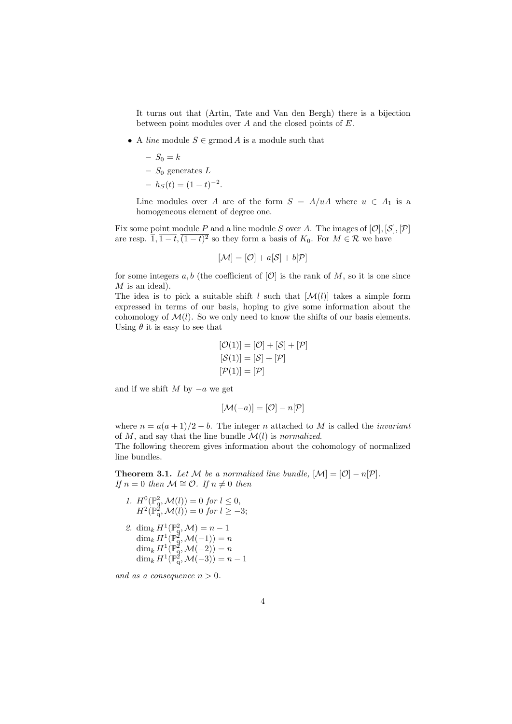It turns out that (Artin, Tate and Van den Bergh) there is a bijection between point modules over A and the closed points of E.

• A line module  $S \in \mathrm{grmod} A$  is a module such that

$$
- S_0 = k
$$
  
- S<sub>0</sub> generates L  
-  $h_S(t) = (1 - t)^{-2}$ .

Line modules over A are of the form  $S = A/uA$  where  $u \in A_1$  is a homogeneous element of degree one.

Fix some point module P and a line module S over A. The images of  $[0], [S], [\mathcal{P}]$ are resp.  $\overline{1}, \overline{1-t}, (1-t)^2$  so they form a basis of  $K_0$ . For  $M \in \mathcal{R}$  we have

$$
[\mathcal{M}] = [\mathcal{O}] + a[\mathcal{S}] + b[\mathcal{P}]
$$

for some integers a, b (the coefficient of  $[O]$  is the rank of M, so it is one since  $M$  is an ideal).

The idea is to pick a suitable shift l such that  $[\mathcal{M}(l)]$  takes a simple form expressed in terms of our basis, hoping to give some information about the cohomology of  $\mathcal{M}(l)$ . So we only need to know the shifts of our basis elements. Using  $\theta$  it is easy to see that

$$
[\mathcal{O}(1)] = [\mathcal{O}] + [\mathcal{S}] + [\mathcal{P}]
$$

$$
[\mathcal{S}(1)] = [\mathcal{S}] + [\mathcal{P}]
$$

$$
[\mathcal{P}(1)] = [\mathcal{P}]
$$

and if we shift  $M$  by  $-a$  we get

$$
[\mathcal{M}(-a)] = [\mathcal{O}] - n[\mathcal{P}]
$$

where  $n = a(a+1)/2 - b$ . The integer n attached to M is called the *invariant* of  $M$ , and say that the line bundle  $\mathcal{M}(l)$  is normalized.

The following theorem gives information about the cohomology of normalized line bundles.

**Theorem 3.1.** Let M be a normalized line bundle,  $[M] = [O] - n[\mathcal{P}]$ . If  $n = 0$  then  $M \cong \mathcal{O}$ . If  $n \neq 0$  then

- 1.  $H^0(\mathbb{P}^2_q, \mathcal{M}(l)) = 0$  for  $l \leq 0$ ,  $H^2(\mathbb{P}_{q}^2, \mathcal{M}(l)) = 0$  for  $l \geq -3$ ;
- 2. dim<sub>k</sub>  $H^1(\mathbb{P}_q^2, \mathcal{M}) = n 1$  $\dim_k H^1(\mathbb{P}^2_q, \mathcal{M}(-1)) = n$  $\dim_k H^1(\mathbb{P}_q^2, \mathcal{M}(-2)) = n$  $\dim_k H^1(\mathbb{P}^2_q, \mathcal{M}(-3)) = n-1$

and as a consequence  $n > 0$ .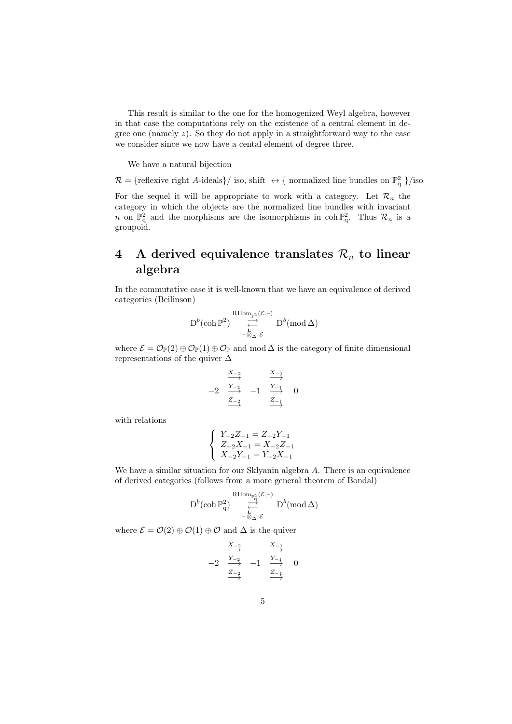This result is similar to the one for the homogenized Weyl algebra, however in that case the computations rely on the existence of a central element in degree one (namely  $z$ ). So they do not apply in a straightforward way to the case we consider since we now have a cental element of degree three.

We have a natural bijection

 $\mathcal{R} = \{$  reflexive right A-ideals  $\}/$  iso, shift  $\leftrightarrow \{$  normalized line bundles on  $\mathbb{P}^2_q$   $\}/$  iso

For the sequel it will be appropriate to work with a category. Let  $\mathcal{R}_n$  the category in which the objects are the normalized line bundles with invariant n on  $\mathbb{P}^2_q$  and the morphisms are the isomorphisms in coh  $\mathbb{P}^2_q$ . Thus  $\mathcal{R}_n$  is a groupoid.

## 4 A derived equivalence translates  $\mathcal{R}_n$  to linear algebra

In the commutative case it is well-known that we have an equivalence of derived categories (Beilinson)

$$
\operatorname{D}^b(\operatorname{coh} \mathbb{P}^2) \underset{\underset{-\infty}{\longrightarrow}}{\overset{\operatorname{RHom}_{\mathbb{P}^2}(\mathcal{E},-)}{\longrightarrow}} \operatorname{D}^b(\operatorname{mod} \Delta)
$$

where  $\mathcal{E} = \mathcal{O}_{\mathbb{P}}(2) \oplus \mathcal{O}_{\mathbb{P}}(1) \oplus \mathcal{O}_{\mathbb{P}}$  and mod  $\Delta$  is the category of finite dimensional representations of the quiver ∆

$$
\begin{array}{ccc}\nX_{-2} & & X_{-1} \\
\longrightarrow & & \xrightarrow{Y_{-2}} & \\
\hline\n-2 & \xrightarrow{Y_{-2}} & -1 & \xrightarrow{Y_{-1}} & 0 \\
& \xrightarrow{Z_{-2}} & & \xrightarrow{Z_{-1}}\n\end{array}
$$

with relations

$$
\left\{\begin{array}{l} Y_{-2}Z_{-1}=Z_{-2}Y_{-1} \\ Z_{-2}X_{-1}=X_{-2}Z_{-1} \\ X_{-2}Y_{-1}=Y_{-2}X_{-1} \end{array}\right.
$$

We have a similar situation for our Sklyanin algebra A. There is an equivalence of derived categories (follows from a more general theorem of Bondal)

$$
\mathbf{D}^b(\mathop{\rm coh}\nolimits \mathbb{P}^2_q) \ \mathop{\rightleftarrow}^{\mathop{\rm RHom}\nolimits_{\mathbb{P}^2_q}(\mathcal{E},-)}_{-\textcolor{red}{\frown} \textcolor{red}{\Delta} \ \mathcal{E}} \mathbf{D}^b(\mathop{\rm mod}\nolimits \Delta)
$$

where  $\mathcal{E} = \mathcal{O}(2) \oplus \mathcal{O}(1) \oplus \mathcal{O}$  and  $\Delta$  is the quiver

$$
\begin{array}{ccc}\n & \xrightarrow{X_{-2}} & & \xrightarrow{X_{-1}} \\
 \hline\n-2 & \xrightarrow{Y_{-2}} & -1 & \xrightarrow{Y_{-1}} & 0 \\
 & \xrightarrow{Z_{-2}} & & \xrightarrow{Z_{-1}}\n\end{array}
$$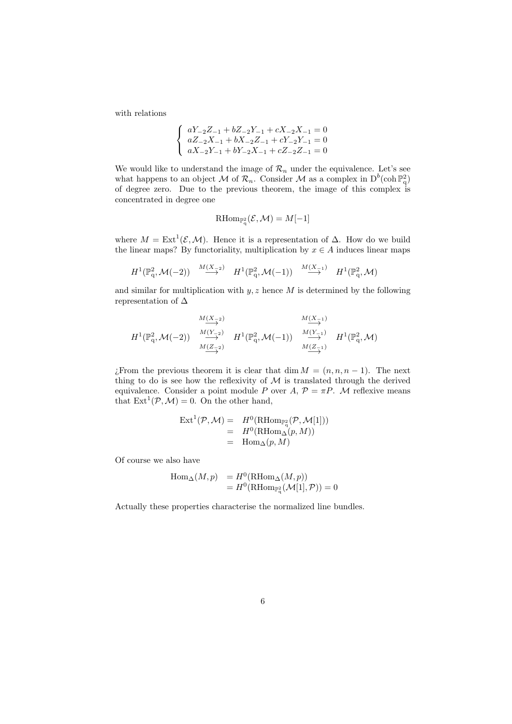with relations

$$
\left\{\begin{array}{l} aY_{-2}Z_{-1}+bZ_{-2}Y_{-1}+cX_{-2}X_{-1}=0\\ aZ_{-2}X_{-1}+bX_{-2}Z_{-1}+cY_{-2}Y_{-1}=0\\ aX_{-2}Y_{-1}+bY_{-2}X_{-1}+cZ_{-2}Z_{-1}=0\end{array}\right.
$$

We would like to understand the image of  $\mathcal{R}_n$  under the equivalence. Let's see what happens to an object M of  $\mathcal{R}_n$ . Consider M as a complex in  $D^b(\text{coh } \mathbb{P}^2_q)$ of degree zero. Due to the previous theorem, the image of this complex is concentrated in degree one

$$
\operatorname{RHom}_{\mathbb{P}^2_{q}}(\mathcal{E},\mathcal{M})=M[-1]
$$

where  $M = \text{Ext}^1(\mathcal{E}, \mathcal{M})$ . Hence it is a representation of  $\Delta$ . How do we build the linear maps? By functoriality, multiplication by  $x \in A$  induces linear maps

$$
H^1(\mathbb{P}^2_q,\mathcal{M}(-2))\ \xrightarrow{M(X-z)}\ H^1(\mathbb{P}^2_q,\mathcal{M}(-1))\ \xrightarrow{M(X-z)}\ H^1(\mathbb{P}^2_q,\mathcal{M})
$$

and similar for multiplication with  $y, z$  hence  $M$  is determined by the following representation of  $\Delta$ 

$$
H^{1}(\mathbb{P}_{q}^{2},\mathcal{M}(-2)) \xrightarrow[M(\frac{X-2}{2})]{\begin{array}{c}M(X-2)\\ \longrightarrow\\ M(\frac{X-2}{2})\end{array}}} H^{1}(\mathbb{P}_{q}^{2},\mathcal{M}(-1)) \xrightarrow[M(\frac{X-1}{2})]{\begin{array}{c}M(X-1)\\ \longrightarrow\\ M(\frac{X-1}{2})\end{array}}} H^{1}(\mathbb{P}_{q}^{2},\mathcal{M})
$$

¿From the previous theorem it is clear that dim  $M = (n, n, n - 1)$ . The next thing to do is see how the reflexivity of  $M$  is translated through the derived equivalence. Consider a point module P over A,  $\mathcal{P} = \pi P$ . M reflexive means that  $\text{Ext}^1(\mathcal{P}, \mathcal{M}) = 0$ . On the other hand,

$$
\begin{array}{rcl}\n\operatorname{Ext}^1(\mathcal{P},\mathcal{M}) &=& H^0(\operatorname{RHom}_{\mathbb{P}_q^2}(\mathcal{P},\mathcal{M}[1])) \\
&=& H^0(\operatorname{RHom}_{\Delta}(p,M)) \\
&=& \operatorname{Hom}_{\Delta}(p,M)\n\end{array}
$$

Of course we also have

$$
\begin{array}{ll}\n\operatorname{Hom}\nolimits_{\Delta}(M,p) &= H^0(\operatorname{RHom}\nolimits_{\Delta}(M,p)) \\
&= H^0(\operatorname{RHom}\nolimits_{\mathbb{P}^2_q}(\mathcal{M}[1],\mathcal{P})) = 0\n\end{array}
$$

Actually these properties characterise the normalized line bundles.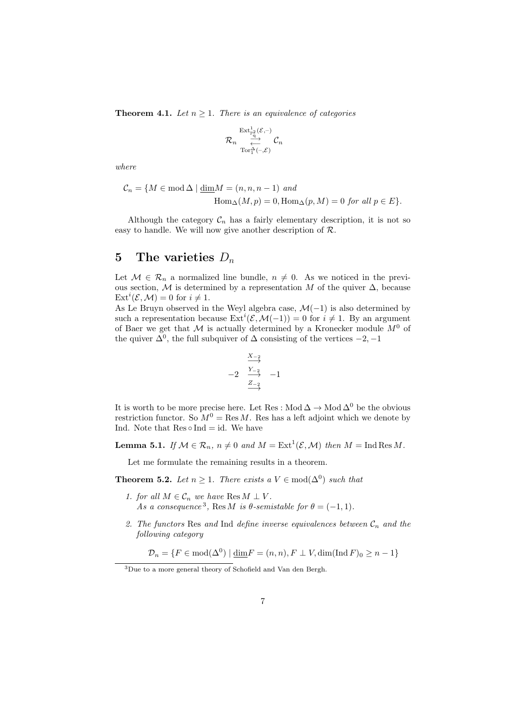**Theorem 4.1.** Let  $n \geq 1$ . There is an equivalence of categories

$$
\mathcal{R}_n \overset{\mathrm{Ext}^1_{\mathbb{P}^2_\mathbf{q}}(\mathcal{E},-)}\leftarrow\\ \mathrm{Tor}^\Delta_1(-,\mathcal{E})} \mathcal{C}_n
$$

where

$$
C_n = \{ M \in \text{mod} \,\Delta \mid \underline{\dim} M = (n, n, n-1) \text{ and}
$$
  
 
$$
\text{Hom}_{\Delta}(M, p) = 0, \text{Hom}_{\Delta}(p, M) = 0 \text{ for all } p \in E \}.
$$

Although the category  $C_n$  has a fairly elementary description, it is not so easy to handle. We will now give another description of  $\mathcal{R}$ .

### 5 The varieties  $D_n$

Let  $\mathcal{M} \in \mathcal{R}_n$  a normalized line bundle,  $n \neq 0$ . As we noticed in the previous section, M is determined by a representation M of the quiver  $\Delta$ , because  $\mathrm{Ext}^i(\mathcal{E}, \mathcal{M}) = 0$  for  $i \neq 1$ .

As Le Bruyn observed in the Weyl algebra case,  $\mathcal{M}(-1)$  is also determined by such a representation because  $\text{Ext}^i(\mathcal{E}, \mathcal{M}(-1)) = 0$  for  $i \neq 1$ . By an argument of Baer we get that M is actually determined by a Kronecker module  $M^0$  of the quiver  $\Delta^0$ , the full subquiver of  $\Delta$  consisting of the vertices  $-2$ ,  $-1$ 

$$
\begin{array}{rcl}\n & \xrightarrow{X_{-2}} \\
 & -2 & \xrightarrow{Y_{-2}} & -1 \\
 & \xrightarrow{Z_{-2}} & \xrightarrow{ }\n\end{array}
$$

It is worth to be more precise here. Let Res : Mod  $\Delta \to$  Mod  $\Delta^0$  be the obvious restriction functor. So  $M^0 = \text{Res } M$ . Res has a left adjoint which we denote by Ind. Note that  $Res \circ Ind = id$ . We have

**Lemma 5.1.** If  $M \in \mathcal{R}_n$ ,  $n \neq 0$  and  $M = \text{Ext}^1(\mathcal{E}, \mathcal{M})$  then  $M = \text{Ind} \text{Res } M$ .

Let me formulate the remaining results in a theorem.

**Theorem 5.2.** Let  $n \geq 1$ . There exists a  $V \in \text{mod}(\Delta^0)$  such that

- 1. for all  $M \in \mathcal{C}_n$  we have Res  $M \perp V$ . As a consequence<sup>3</sup>, Res M is  $\theta$ -semistable for  $\theta = (-1, 1)$ .
- 2. The functors Res and Ind define inverse equivalences between  $\mathcal{C}_n$  and the following category

 $\mathcal{D}_n = \{F \in \text{mod}(\Delta^0) \mid \underline{\dim} F = (n, n), F \perp V, \dim(\text{Ind } F)_0 \geq n - 1\}$ 

<sup>&</sup>lt;sup>3</sup>Due to a more general theory of Schofield and Van den Bergh.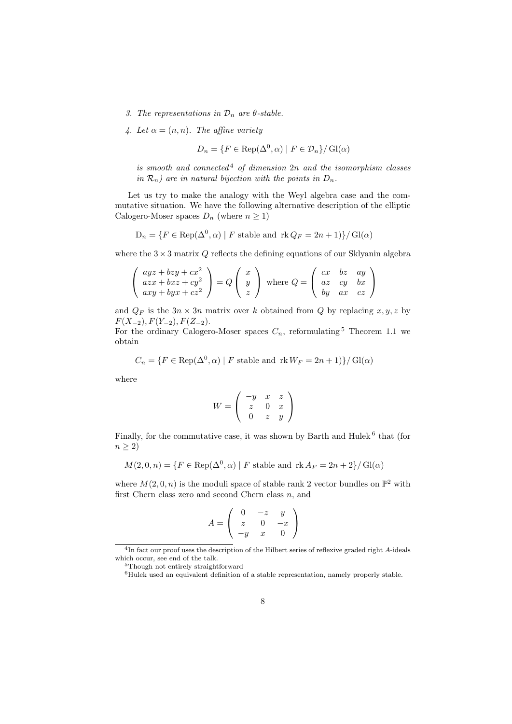- 3. The representations in  $\mathcal{D}_n$  are  $\theta$ -stable.
- 4. Let  $\alpha = (n, n)$ . The affine variety

$$
D_n = \{ F \in \text{Rep}(\Delta^0, \alpha) \mid F \in \mathcal{D}_n \} / \text{Gl}(\alpha)
$$

is smooth and connected<sup>4</sup> of dimension  $2n$  and the isomorphism classes in  $\mathcal{R}_n$ ) are in natural bijection with the points in  $D_n$ .

Let us try to make the analogy with the Weyl algebra case and the commutative situation. We have the following alternative description of the elliptic Calogero-Moser spaces  $D_n$  (where  $n \geq 1$ )

$$
D_n = \{ F \in \text{Rep}(\Delta^0, \alpha) \mid F \text{ stable and } \text{rk } Q_F = 2n + 1 \} / \text{Gl}(\alpha)
$$

where the  $3 \times 3$  matrix Q reflects the defining equations of our Sklyanin algebra

$$
\begin{pmatrix} ayz + bzy + cx^2 \ axz + bxz + cy^2 \ axy + byx + cz^2 \end{pmatrix} = Q \begin{pmatrix} x \\ y \\ z \end{pmatrix} \text{ where } Q = \begin{pmatrix} cx & bz & ay \ az & cy & bx \ ay & ax & cz \end{pmatrix}
$$

and  $Q_F$  is the  $3n \times 3n$  matrix over k obtained from Q by replacing  $x, y, z$  by  $F(X_{-2}), F(Y_{-2}), F(Z_{-2}).$ 

For the ordinary Calogero-Moser spaces  $C_n$ , reformulating <sup>5</sup> Theorem 1.1 we obtain

$$
C_n = \{ F \in \text{Rep}(\Delta^0, \alpha) \mid F \text{ stable and } \text{rk } W_F = 2n + 1 \} / \text{Gl}(\alpha)
$$

where

$$
W = \left(\begin{array}{ccc} -y&x&z\\z&0&x\\0&z&y\end{array}\right)
$$

Finally, for the commutative case, it was shown by Barth and Hulek<sup> $6$ </sup> that (for  $n \geq 2$ 

$$
M(2,0,n) = \{ F \in \text{Rep}(\Delta^0, \alpha) \mid F \text{ stable and } \text{rk } A_F = 2n + 2 \} / \text{Gl}(\alpha)
$$

where  $M(2, 0, n)$  is the moduli space of stable rank 2 vector bundles on  $\mathbb{P}^2$  with first Chern class zero and second Chern class  $n$ , and

$$
A = \left(\begin{array}{ccc} 0 & -z & y \\ z & 0 & -x \\ -y & x & 0 \end{array}\right)
$$

<sup>&</sup>lt;sup>4</sup>In fact our proof uses the description of the Hilbert series of reflexive graded right A-ideals which occur, see end of the talk.

<sup>5</sup>Though not entirely straightforward

<sup>6</sup>Hulek used an equivalent definition of a stable representation, namely properly stable.